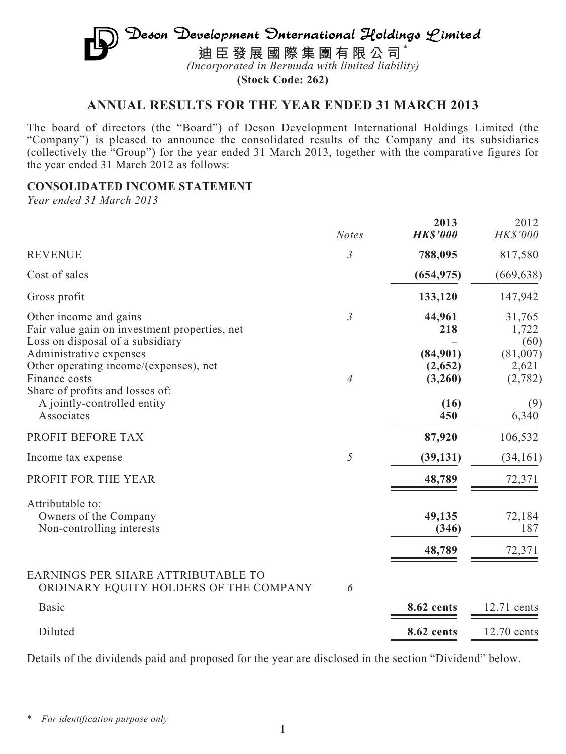# Deson Development Onternational Holdings Limited **迪臣發展國際集團有限公司** \* *(Incorporated in Bermuda with limited liability)*

**(Stock Code: 262)**

# **ANNUAL RESULTS FOR THE YEAR ENDED 31 MARCH 2013**

The board of directors (the "Board") of Deson Development International Holdings Limited (the "Company") is pleased to announce the consolidated results of the Company and its subsidiaries (collectively the "Group") for the year ended 31 March 2013, together with the comparative figures for the year ended 31 March 2012 as follows:

### **CONSOLIDATED INCOME STATEMENT**

*Year ended 31 March 2013*

|                                                                                                                       | <b>Notes</b>   | 2013<br><b>HK\$'000</b>        | 2012<br>HK\$'000             |
|-----------------------------------------------------------------------------------------------------------------------|----------------|--------------------------------|------------------------------|
| <b>REVENUE</b>                                                                                                        | $\mathfrak{Z}$ | 788,095                        | 817,580                      |
| Cost of sales                                                                                                         |                | (654, 975)                     | (669, 638)                   |
| Gross profit                                                                                                          |                | 133,120                        | 147,942                      |
| Other income and gains<br>Fair value gain on investment properties, net<br>Loss on disposal of a subsidiary           | $\mathfrak{Z}$ | 44,961<br>218                  | 31,765<br>1,722<br>(60)      |
| Administrative expenses<br>Other operating income/(expenses), net<br>Finance costs<br>Share of profits and losses of: | $\overline{4}$ | (84,901)<br>(2,652)<br>(3,260) | (81,007)<br>2,621<br>(2,782) |
| A jointly-controlled entity<br>Associates                                                                             |                | (16)<br>450                    | (9)<br>6,340                 |
| PROFIT BEFORE TAX                                                                                                     |                | 87,920                         | 106,532                      |
| Income tax expense                                                                                                    | 5              | (39, 131)                      | (34, 161)                    |
| PROFIT FOR THE YEAR                                                                                                   |                | 48,789                         | 72,371                       |
| Attributable to:<br>Owners of the Company<br>Non-controlling interests                                                |                | 49,135<br>(346)<br>48,789      | 72,184<br>187<br>72,371      |
| EARNINGS PER SHARE ATTRIBUTABLE TO<br>ORDINARY EQUITY HOLDERS OF THE COMPANY                                          | 6              |                                |                              |
| <b>Basic</b>                                                                                                          |                | 8.62 cents                     | 12.71 cents                  |
| Diluted                                                                                                               |                | 8.62 cents                     | 12.70 cents                  |

Details of the dividends paid and proposed for the year are disclosed in the section "Dividend" below.

<sup>\*</sup> *For identification purpose only*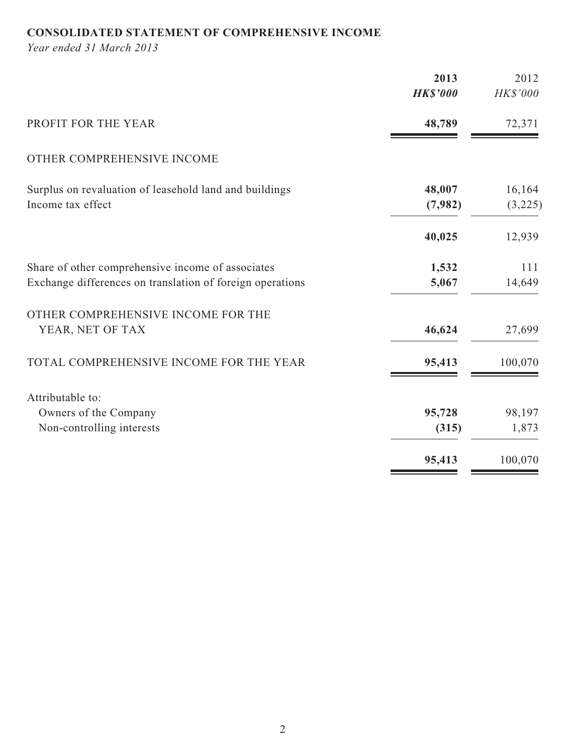# **CONSOLIDATED STATEMENT OF COMPREHENSIVE INCOME**

*Year ended 31 March 2013*

|                                                           | 2013<br><b>HK\$'000</b> | 2012<br>HK\$'000 |
|-----------------------------------------------------------|-------------------------|------------------|
| PROFIT FOR THE YEAR                                       | 48,789                  | 72,371           |
| OTHER COMPREHENSIVE INCOME                                |                         |                  |
| Surplus on revaluation of leasehold land and buildings    | 48,007                  | 16,164           |
| Income tax effect                                         | (7,982)                 | (3,225)          |
|                                                           | 40,025                  | 12,939           |
| Share of other comprehensive income of associates         | 1,532                   | 111              |
| Exchange differences on translation of foreign operations | 5,067                   | 14,649           |
| OTHER COMPREHENSIVE INCOME FOR THE                        |                         |                  |
| YEAR, NET OF TAX                                          | 46,624                  | 27,699           |
| TOTAL COMPREHENSIVE INCOME FOR THE YEAR                   | 95,413                  | 100,070          |
| Attributable to:                                          |                         |                  |
| Owners of the Company                                     | 95,728                  | 98,197           |
| Non-controlling interests                                 | (315)                   | 1,873            |
|                                                           | 95,413                  | 100,070          |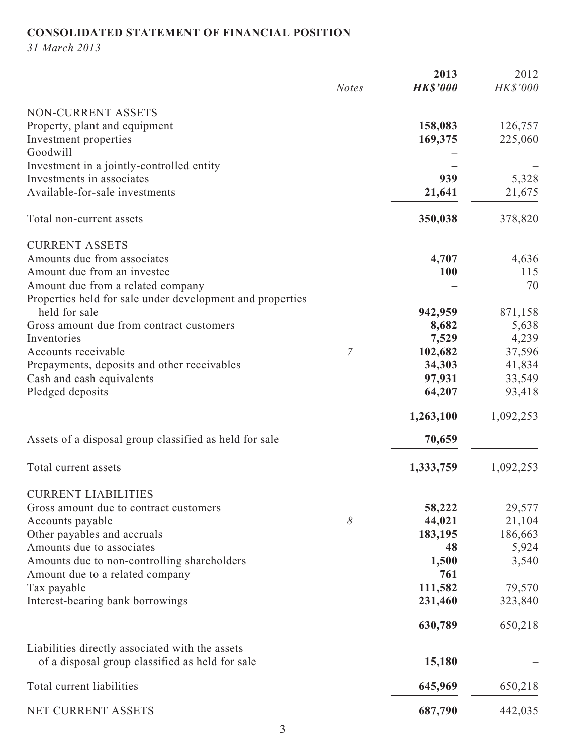# **CONSOLIDATED STATEMENT OF FINANCIAL POSITION**

*31 March 2013*

|                                                           | <b>Notes</b> | 2013<br><b>HK\$'000</b> | 2012<br>HK\$'000 |
|-----------------------------------------------------------|--------------|-------------------------|------------------|
| NON-CURRENT ASSETS                                        |              |                         |                  |
| Property, plant and equipment                             |              | 158,083                 | 126,757          |
| Investment properties                                     |              | 169,375                 | 225,060          |
| Goodwill                                                  |              |                         |                  |
| Investment in a jointly-controlled entity                 |              |                         |                  |
| Investments in associates                                 |              | 939                     | 5,328            |
| Available-for-sale investments                            |              | 21,641                  | 21,675           |
| Total non-current assets                                  |              | 350,038                 | 378,820          |
| <b>CURRENT ASSETS</b>                                     |              |                         |                  |
| Amounts due from associates                               |              | 4,707                   | 4,636            |
| Amount due from an investee                               |              | <b>100</b>              | 115              |
| Amount due from a related company                         |              |                         | 70               |
| Properties held for sale under development and properties |              |                         |                  |
| held for sale                                             |              | 942,959                 | 871,158          |
| Gross amount due from contract customers                  |              | 8,682                   | 5,638            |
| Inventories                                               |              | 7,529                   | 4,239            |
| Accounts receivable                                       | 7            | 102,682                 | 37,596           |
| Prepayments, deposits and other receivables               |              | 34,303                  | 41,834           |
| Cash and cash equivalents                                 |              | 97,931                  | 33,549           |
| Pledged deposits                                          |              | 64,207                  | 93,418           |
|                                                           |              | 1,263,100               | 1,092,253        |
| Assets of a disposal group classified as held for sale    |              | 70,659                  |                  |
| Total current assets                                      |              | 1,333,759               | 1,092,253        |
| <b>CURRENT LIABILITIES</b>                                |              |                         |                  |
| Gross amount due to contract customers                    |              | 58,222                  | 29,577           |
| Accounts payable                                          | 8            | 44,021                  | 21,104           |
| Other payables and accruals                               |              | 183,195                 | 186,663          |
| Amounts due to associates                                 |              | 48                      | 5,924            |
| Amounts due to non-controlling shareholders               |              | 1,500                   | 3,540            |
| Amount due to a related company                           |              | 761                     |                  |
| Tax payable                                               |              | 111,582                 | 79,570           |
| Interest-bearing bank borrowings                          |              | 231,460                 | 323,840          |
|                                                           |              | 630,789                 | 650,218          |
| Liabilities directly associated with the assets           |              |                         |                  |
| of a disposal group classified as held for sale           |              | 15,180                  |                  |
| Total current liabilities                                 |              | 645,969                 | 650,218          |
| NET CURRENT ASSETS                                        |              | 687,790                 | 442,035          |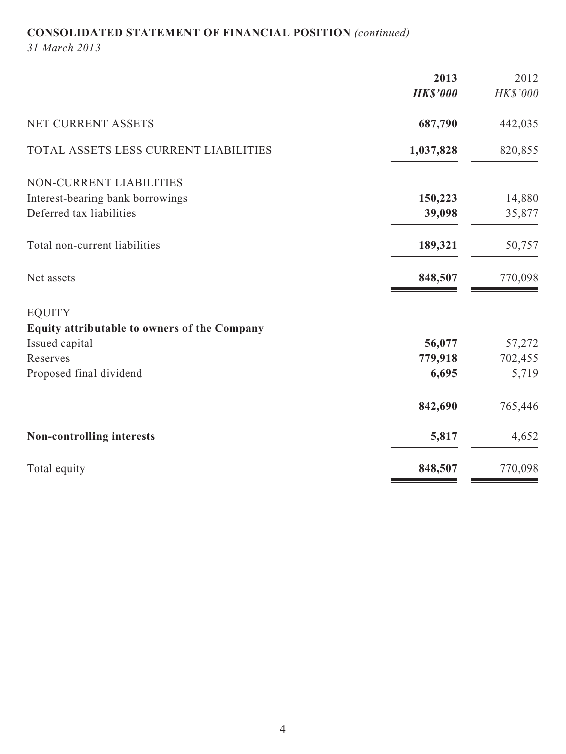# **CONSOLIDATED STATEMENT OF FINANCIAL POSITION** *(continued)*

*31 March 2013*

|                                              | 2013            | 2012     |
|----------------------------------------------|-----------------|----------|
|                                              | <b>HK\$'000</b> | HK\$'000 |
| NET CURRENT ASSETS                           | 687,790         | 442,035  |
| TOTAL ASSETS LESS CURRENT LIABILITIES        | 1,037,828       | 820,855  |
| NON-CURRENT LIABILITIES                      |                 |          |
| Interest-bearing bank borrowings             | 150,223         | 14,880   |
| Deferred tax liabilities                     | 39,098          | 35,877   |
| Total non-current liabilities                | 189,321         | 50,757   |
| Net assets                                   | 848,507         | 770,098  |
| <b>EQUITY</b>                                |                 |          |
| Equity attributable to owners of the Company |                 |          |
| Issued capital                               | 56,077          | 57,272   |
| Reserves                                     | 779,918         | 702,455  |
| Proposed final dividend                      | 6,695           | 5,719    |
|                                              | 842,690         | 765,446  |
| Non-controlling interests                    | 5,817           | 4,652    |
| Total equity                                 | 848,507         | 770,098  |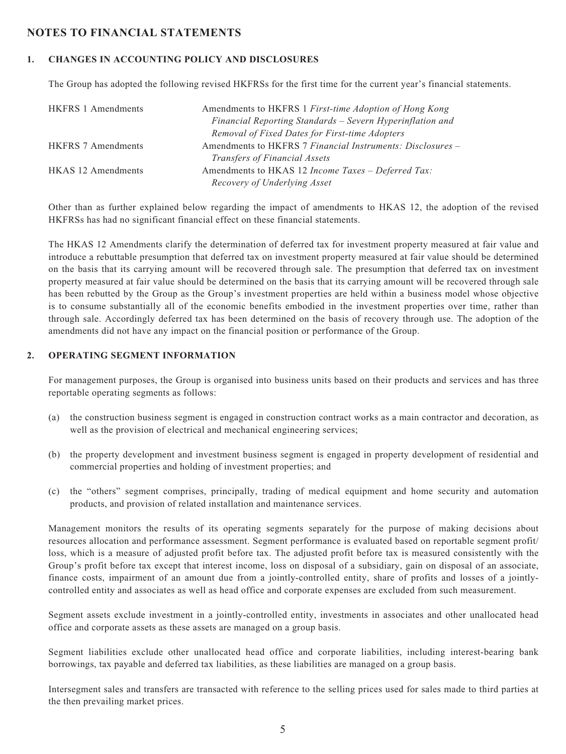## **NOTES TO FINANCIAL STATEMENTS**

#### **1. CHANGES IN ACCOUNTING POLICY AND DISCLOSURES**

The Group has adopted the following revised HKFRSs for the first time for the current year's financial statements.

| <b>HKFRS 1 Amendments</b> | Amendments to HKFRS 1 First-time Adoption of Hong Kong     |
|---------------------------|------------------------------------------------------------|
|                           | Financial Reporting Standards - Severn Hyperinflation and  |
|                           | Removal of Fixed Dates for First-time Adopters             |
| <b>HKFRS 7 Amendments</b> | Amendments to HKFRS 7 Financial Instruments: Disclosures – |
|                           | <i>Transfers of Financial Assets</i>                       |
| <b>HKAS</b> 12 Amendments | Amendments to HKAS 12 Income Taxes – Deferred Tax:         |
|                           | Recovery of Underlying Asset                               |

Other than as further explained below regarding the impact of amendments to HKAS 12, the adoption of the revised HKFRSs has had no significant financial effect on these financial statements.

The HKAS 12 Amendments clarify the determination of deferred tax for investment property measured at fair value and introduce a rebuttable presumption that deferred tax on investment property measured at fair value should be determined on the basis that its carrying amount will be recovered through sale. The presumption that deferred tax on investment property measured at fair value should be determined on the basis that its carrying amount will be recovered through sale has been rebutted by the Group as the Group's investment properties are held within a business model whose objective is to consume substantially all of the economic benefits embodied in the investment properties over time, rather than through sale. Accordingly deferred tax has been determined on the basis of recovery through use. The adoption of the amendments did not have any impact on the financial position or performance of the Group.

#### **2. OPERATING SEGMENT INFORMATION**

For management purposes, the Group is organised into business units based on their products and services and has three reportable operating segments as follows:

- (a) the construction business segment is engaged in construction contract works as a main contractor and decoration, as well as the provision of electrical and mechanical engineering services;
- (b) the property development and investment business segment is engaged in property development of residential and commercial properties and holding of investment properties; and
- (c) the "others" segment comprises, principally, trading of medical equipment and home security and automation products, and provision of related installation and maintenance services.

Management monitors the results of its operating segments separately for the purpose of making decisions about resources allocation and performance assessment. Segment performance is evaluated based on reportable segment profit/ loss, which is a measure of adjusted profit before tax. The adjusted profit before tax is measured consistently with the Group's profit before tax except that interest income, loss on disposal of a subsidiary, gain on disposal of an associate, finance costs, impairment of an amount due from a jointly-controlled entity, share of profits and losses of a jointlycontrolled entity and associates as well as head office and corporate expenses are excluded from such measurement.

Segment assets exclude investment in a jointly-controlled entity, investments in associates and other unallocated head office and corporate assets as these assets are managed on a group basis.

Segment liabilities exclude other unallocated head office and corporate liabilities, including interest-bearing bank borrowings, tax payable and deferred tax liabilities, as these liabilities are managed on a group basis.

Intersegment sales and transfers are transacted with reference to the selling prices used for sales made to third parties at the then prevailing market prices.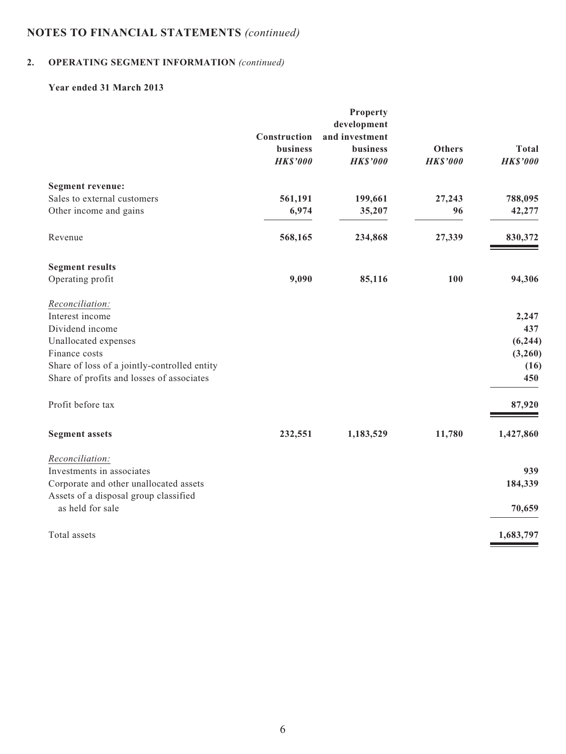# **2. OPERATING SEGMENT INFORMATION** *(continued)*

### **Year ended 31 March 2013**

| <b>Property</b>                                                                                |                                                                                                                            |                 |
|------------------------------------------------------------------------------------------------|----------------------------------------------------------------------------------------------------------------------------|-----------------|
|                                                                                                |                                                                                                                            |                 |
|                                                                                                |                                                                                                                            |                 |
|                                                                                                | <b>Others</b>                                                                                                              | <b>Total</b>    |
|                                                                                                | <b>HK\$'000</b>                                                                                                            | <b>HK\$'000</b> |
|                                                                                                |                                                                                                                            |                 |
|                                                                                                | 27,243                                                                                                                     | 788,095         |
|                                                                                                | 96                                                                                                                         | 42,277          |
|                                                                                                | 27,339                                                                                                                     | 830,372         |
|                                                                                                |                                                                                                                            |                 |
|                                                                                                | 100                                                                                                                        | 94,306          |
|                                                                                                |                                                                                                                            |                 |
|                                                                                                |                                                                                                                            | 2,247           |
|                                                                                                |                                                                                                                            | 437             |
|                                                                                                |                                                                                                                            | (6, 244)        |
|                                                                                                |                                                                                                                            | (3,260)         |
|                                                                                                |                                                                                                                            | (16)            |
|                                                                                                |                                                                                                                            | 450             |
|                                                                                                |                                                                                                                            | 87,920          |
|                                                                                                | 11,780                                                                                                                     | 1,427,860       |
|                                                                                                |                                                                                                                            |                 |
|                                                                                                |                                                                                                                            | 939             |
|                                                                                                |                                                                                                                            | 184,339         |
|                                                                                                |                                                                                                                            | 70,659          |
|                                                                                                |                                                                                                                            | 1,683,797       |
| Construction<br>business<br><b>HK\$'000</b><br>561,191<br>6,974<br>568,165<br>9,090<br>232,551 | development<br>and investment<br><b>business</b><br><b>HK\$'000</b><br>199,661<br>35,207<br>234,868<br>85,116<br>1,183,529 |                 |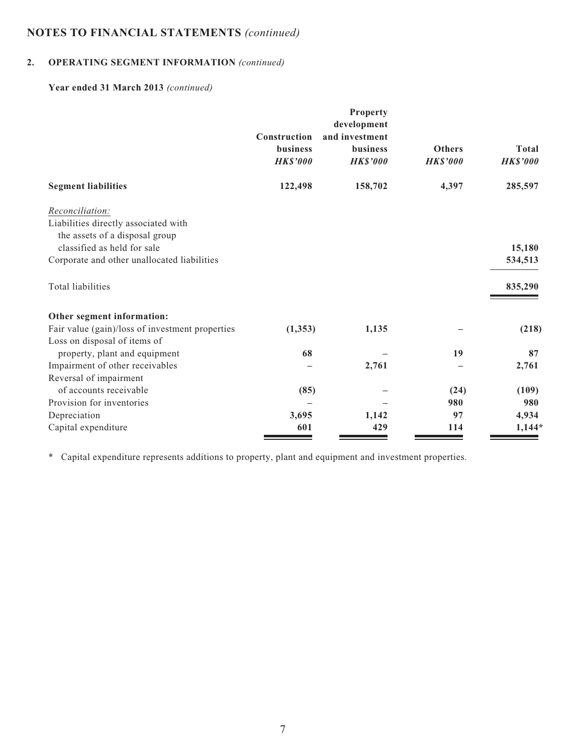# **2. OPERATING SEGMENT INFORMATION** *(continued)*

# **Year ended 31 March 2013** *(continued)*

|                                                 |                                             | Property<br>development                              |                                  |                          |
|-------------------------------------------------|---------------------------------------------|------------------------------------------------------|----------------------------------|--------------------------|
|                                                 | Construction<br>business<br><b>HK\$'000</b> | and investment<br><b>business</b><br><b>HK\$'000</b> | <b>Others</b><br><b>HK\$'000</b> | Total<br><b>HK\$'000</b> |
| <b>Segment liabilities</b>                      | 122,498                                     | 158,702                                              | 4,397                            | 285,597                  |
| Reconciliation:                                 |                                             |                                                      |                                  |                          |
| Liabilities directly associated with            |                                             |                                                      |                                  |                          |
| the assets of a disposal group                  |                                             |                                                      |                                  |                          |
| classified as held for sale                     |                                             |                                                      |                                  | 15,180                   |
| Corporate and other unallocated liabilities     |                                             |                                                      |                                  | 534,513                  |
| <b>Total liabilities</b>                        |                                             |                                                      |                                  | 835,290                  |
| Other segment information:                      |                                             |                                                      |                                  |                          |
| Fair value (gain)/loss of investment properties | (1, 353)                                    | 1,135                                                |                                  | (218)                    |
| Loss on disposal of items of                    |                                             |                                                      |                                  |                          |
| property, plant and equipment                   | 68                                          |                                                      | 19                               | 87                       |
| Impairment of other receivables                 |                                             | 2,761                                                |                                  | 2,761                    |
| Reversal of impairment                          |                                             |                                                      |                                  |                          |
| of accounts receivable                          | (85)                                        |                                                      | (24)                             | (109)                    |
| Provision for inventories                       |                                             |                                                      | 980                              | 980                      |
| Depreciation                                    | 3,695                                       | 1,142                                                | 97                               | 4,934                    |
| Capital expenditure                             | 601                                         | 429                                                  | 114                              | $1,144*$                 |

\* Capital expenditure represents additions to property, plant and equipment and investment properties.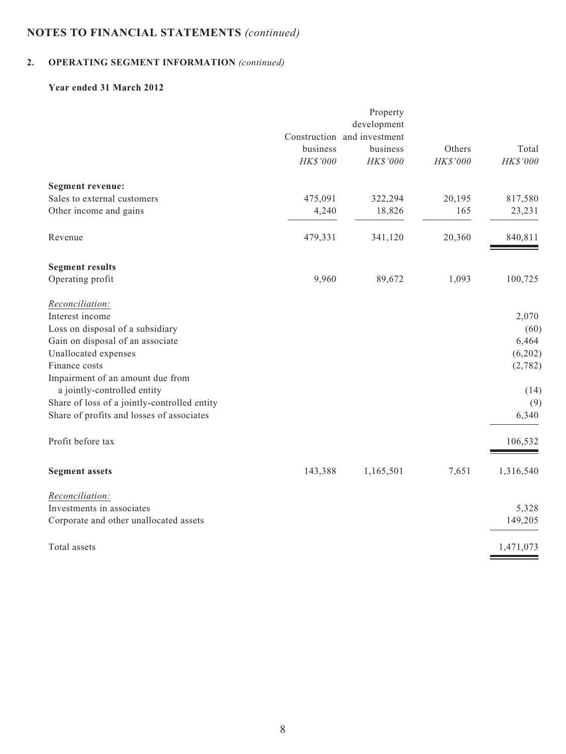# **2. OPERATING SEGMENT INFORMATION** *(continued)*

### **Year ended 31 March 2012**

| development<br>Construction and investment<br>Others<br>business<br>business<br>HK\$'000<br>HK\$'000<br>HK\$'000<br><b>Segment revenue:</b><br>Sales to external customers<br>475,091<br>322,294<br>20,195<br>Other income and gains<br>18,826<br>165<br>4,240<br>Revenue<br>479,331<br>341,120<br>20,360<br><b>Segment results</b><br>9,960<br>Operating profit<br>89,672<br>1,093<br>Reconciliation:<br>Interest income<br>Loss on disposal of a subsidiary<br>Gain on disposal of an associate<br>Unallocated expenses<br>Finance costs<br>Impairment of an amount due from<br>a jointly-controlled entity<br>Share of loss of a jointly-controlled entity<br>Share of profits and losses of associates | Total<br>HK\$'000<br>817,580<br>23,231<br>840,811<br>100,725 |
|------------------------------------------------------------------------------------------------------------------------------------------------------------------------------------------------------------------------------------------------------------------------------------------------------------------------------------------------------------------------------------------------------------------------------------------------------------------------------------------------------------------------------------------------------------------------------------------------------------------------------------------------------------------------------------------------------------|--------------------------------------------------------------|
|                                                                                                                                                                                                                                                                                                                                                                                                                                                                                                                                                                                                                                                                                                            |                                                              |
|                                                                                                                                                                                                                                                                                                                                                                                                                                                                                                                                                                                                                                                                                                            |                                                              |
|                                                                                                                                                                                                                                                                                                                                                                                                                                                                                                                                                                                                                                                                                                            |                                                              |
|                                                                                                                                                                                                                                                                                                                                                                                                                                                                                                                                                                                                                                                                                                            |                                                              |
|                                                                                                                                                                                                                                                                                                                                                                                                                                                                                                                                                                                                                                                                                                            |                                                              |
|                                                                                                                                                                                                                                                                                                                                                                                                                                                                                                                                                                                                                                                                                                            |                                                              |
|                                                                                                                                                                                                                                                                                                                                                                                                                                                                                                                                                                                                                                                                                                            |                                                              |
|                                                                                                                                                                                                                                                                                                                                                                                                                                                                                                                                                                                                                                                                                                            |                                                              |
|                                                                                                                                                                                                                                                                                                                                                                                                                                                                                                                                                                                                                                                                                                            |                                                              |
|                                                                                                                                                                                                                                                                                                                                                                                                                                                                                                                                                                                                                                                                                                            |                                                              |
|                                                                                                                                                                                                                                                                                                                                                                                                                                                                                                                                                                                                                                                                                                            |                                                              |
|                                                                                                                                                                                                                                                                                                                                                                                                                                                                                                                                                                                                                                                                                                            | 2,070                                                        |
|                                                                                                                                                                                                                                                                                                                                                                                                                                                                                                                                                                                                                                                                                                            | (60)                                                         |
|                                                                                                                                                                                                                                                                                                                                                                                                                                                                                                                                                                                                                                                                                                            | 6,464                                                        |
|                                                                                                                                                                                                                                                                                                                                                                                                                                                                                                                                                                                                                                                                                                            | (6,202)                                                      |
|                                                                                                                                                                                                                                                                                                                                                                                                                                                                                                                                                                                                                                                                                                            | (2,782)                                                      |
|                                                                                                                                                                                                                                                                                                                                                                                                                                                                                                                                                                                                                                                                                                            |                                                              |
|                                                                                                                                                                                                                                                                                                                                                                                                                                                                                                                                                                                                                                                                                                            | (14)                                                         |
|                                                                                                                                                                                                                                                                                                                                                                                                                                                                                                                                                                                                                                                                                                            | (9)<br>6,340                                                 |
|                                                                                                                                                                                                                                                                                                                                                                                                                                                                                                                                                                                                                                                                                                            |                                                              |
| Profit before tax                                                                                                                                                                                                                                                                                                                                                                                                                                                                                                                                                                                                                                                                                          | 106,532                                                      |
| 7,651<br><b>Segment assets</b><br>143,388<br>1,165,501                                                                                                                                                                                                                                                                                                                                                                                                                                                                                                                                                                                                                                                     | 1,316,540                                                    |
| Reconciliation:                                                                                                                                                                                                                                                                                                                                                                                                                                                                                                                                                                                                                                                                                            |                                                              |
| Investments in associates                                                                                                                                                                                                                                                                                                                                                                                                                                                                                                                                                                                                                                                                                  | 5,328                                                        |
| Corporate and other unallocated assets                                                                                                                                                                                                                                                                                                                                                                                                                                                                                                                                                                                                                                                                     | 149,205                                                      |
| Total assets<br>1,471,073                                                                                                                                                                                                                                                                                                                                                                                                                                                                                                                                                                                                                                                                                  |                                                              |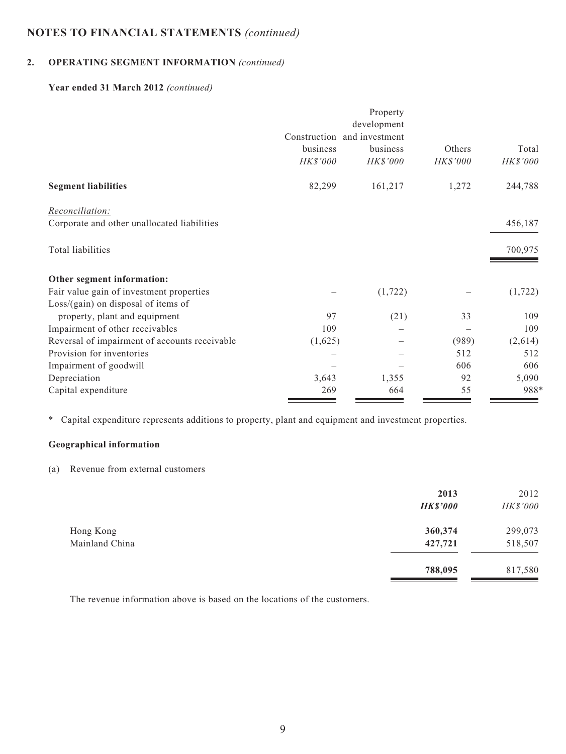# **2. OPERATING SEGMENT INFORMATION** *(continued)*

### **Year ended 31 March 2012** *(continued)*

|                                               |              | Property<br>development |          |          |
|-----------------------------------------------|--------------|-------------------------|----------|----------|
|                                               | Construction | and investment          |          |          |
|                                               | business     | business                | Others   | Total    |
|                                               | HK\$'000     | HK\$'000                | HK\$'000 | HK\$'000 |
| <b>Segment liabilities</b>                    | 82,299       | 161,217                 | 1,272    | 244,788  |
| Reconciliation:                               |              |                         |          |          |
| Corporate and other unallocated liabilities   |              |                         |          | 456,187  |
| Total liabilities                             |              |                         |          | 700,975  |
| Other segment information:                    |              |                         |          |          |
| Fair value gain of investment properties      |              | (1, 722)                |          | (1, 722) |
| $Loss/(gain)$ on disposal of items of         |              |                         |          |          |
| property, plant and equipment                 | 97           | (21)                    | 33       | 109      |
| Impairment of other receivables               | 109          |                         |          | 109      |
| Reversal of impairment of accounts receivable | (1,625)      |                         | (989)    | (2,614)  |
| Provision for inventories                     |              |                         | 512      | 512      |
| Impairment of goodwill                        |              |                         | 606      | 606      |
| Depreciation                                  | 3,643        | 1,355                   | 92       | 5,090    |
| Capital expenditure                           | 269          | 664                     | 55       | 988*     |

\* Capital expenditure represents additions to property, plant and equipment and investment properties.

# **Geographical information**

(a) Revenue from external customers

|                             | 2013<br><b>HK\$'000</b> | 2012<br>HK\$'000   |
|-----------------------------|-------------------------|--------------------|
| Hong Kong<br>Mainland China | 360,374<br>427,721      | 299,073<br>518,507 |
|                             | 788,095                 | 817,580            |

The revenue information above is based on the locations of the customers.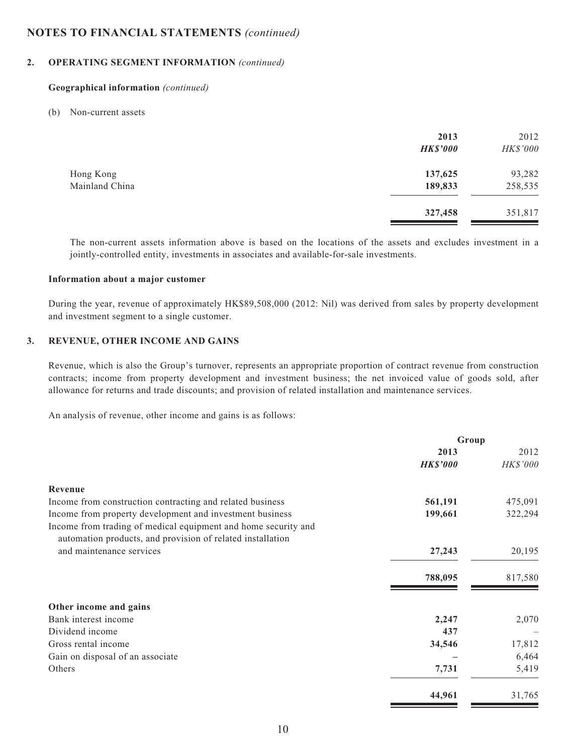### **2. OPERATING SEGMENT INFORMATION** *(continued)*

#### **Geographical information** *(continued)*

#### (b) Non-current assets

|                | 2013<br><b>HK\$'000</b> | 2012<br>HK\$'000 |
|----------------|-------------------------|------------------|
| Hong Kong      | 137,625                 | 93,282           |
| Mainland China | 189,833                 | 258,535          |
|                | 327,458                 | 351,817          |

The non-current assets information above is based on the locations of the assets and excludes investment in a jointly-controlled entity, investments in associates and available-for-sale investments.

#### **Information about a major customer**

During the year, revenue of approximately HK\$89,508,000 (2012: Nil) was derived from sales by property development and investment segment to a single customer.

#### **3. REVENUE, OTHER INCOME AND GAINS**

Revenue, which is also the Group's turnover, represents an appropriate proportion of contract revenue from construction contracts; income from property development and investment business; the net invoiced value of goods sold, after allowance for returns and trade discounts; and provision of related installation and maintenance services.

An analysis of revenue, other income and gains is as follows:

| Group           |          |
|-----------------|----------|
| 2013            | 2012     |
| <b>HK\$'000</b> | HK\$'000 |
|                 |          |
| 561,191         | 475,091  |
| 199,661         | 322,294  |
|                 |          |
| 27,243          | 20,195   |
| 788,095         | 817,580  |
|                 |          |
| 2,247           | 2,070    |
| 437             |          |
| 34,546          | 17,812   |
|                 | 6,464    |
| 7,731           | 5,419    |
| 44,961          | 31,765   |
|                 |          |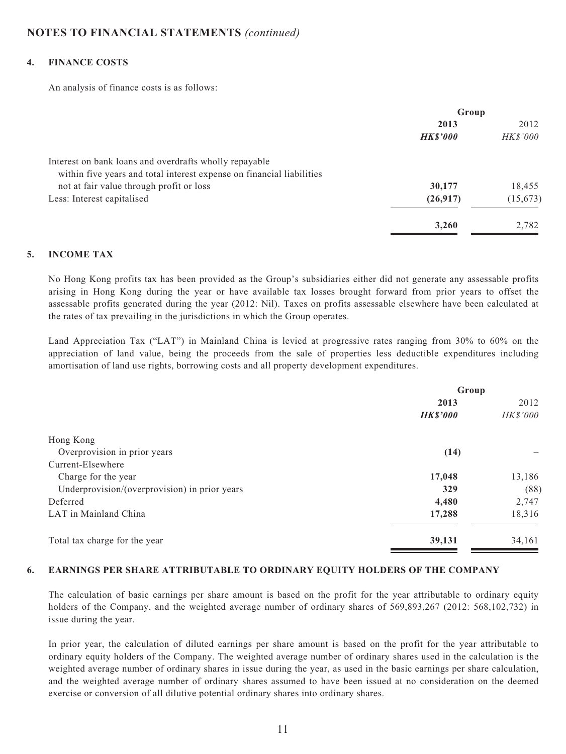#### **4. FINANCE COSTS**

An analysis of finance costs is as follows:

|                                                                       | Group          |           |
|-----------------------------------------------------------------------|----------------|-----------|
|                                                                       | 2013           | 2012      |
|                                                                       | <b>HKS'000</b> | HK\$'000  |
| Interest on bank loans and overdrafts wholly repayable                |                |           |
| within five years and total interest expense on financial liabilities |                |           |
| not at fair value through profit or loss                              | 30,177         | 18,455    |
| Less: Interest capitalised                                            | (26,917)       | (15, 673) |
|                                                                       | 3,260          | 2,782     |

#### **5. INCOME TAX**

No Hong Kong profits tax has been provided as the Group's subsidiaries either did not generate any assessable profits arising in Hong Kong during the year or have available tax losses brought forward from prior years to offset the assessable profits generated during the year (2012: Nil). Taxes on profits assessable elsewhere have been calculated at the rates of tax prevailing in the jurisdictions in which the Group operates.

Land Appreciation Tax ("LAT") in Mainland China is levied at progressive rates ranging from 30% to 60% on the appreciation of land value, being the proceeds from the sale of properties less deductible expenditures including amortisation of land use rights, borrowing costs and all property development expenditures.

| Group           |                 |
|-----------------|-----------------|
| 2013            | 2012            |
| <b>HK\$'000</b> | <b>HK\$'000</b> |
|                 |                 |
| (14)            |                 |
|                 |                 |
| 17,048          | 13,186          |
| 329             | (88)            |
| 4,480           | 2,747           |
| 17,288          | 18,316          |
| 39,131          | 34,161          |
|                 |                 |

#### **6. EARNINGS PER SHARE ATTRIBUTABLE TO ORDINARY EQUITY HOLDERS OF THE COMPANY**

The calculation of basic earnings per share amount is based on the profit for the year attributable to ordinary equity holders of the Company, and the weighted average number of ordinary shares of 569,893,267 (2012: 568,102,732) in issue during the year.

In prior year, the calculation of diluted earnings per share amount is based on the profit for the year attributable to ordinary equity holders of the Company. The weighted average number of ordinary shares used in the calculation is the weighted average number of ordinary shares in issue during the year, as used in the basic earnings per share calculation, and the weighted average number of ordinary shares assumed to have been issued at no consideration on the deemed exercise or conversion of all dilutive potential ordinary shares into ordinary shares.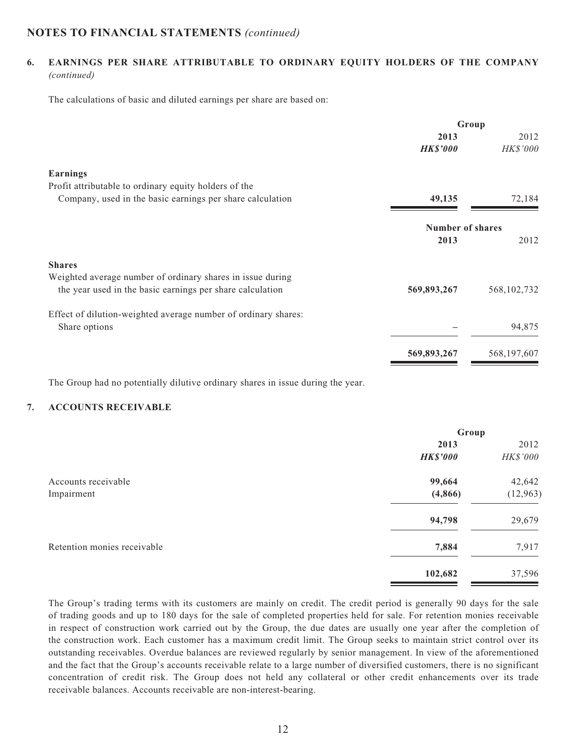### **6. EARNINGS PER SHARE ATTRIBUTABLE TO ORDINARY EQUITY HOLDERS OF THE COMPANY**  *(continued)*

The calculations of basic and diluted earnings per share are based on:

|                                                                                                                         | Group                   |                         |
|-------------------------------------------------------------------------------------------------------------------------|-------------------------|-------------------------|
|                                                                                                                         | 2013<br><b>HK\$'000</b> | 2012<br><b>HK\$'000</b> |
| <b>Earnings</b>                                                                                                         |                         |                         |
| Profit attributable to ordinary equity holders of the                                                                   |                         |                         |
| Company, used in the basic earnings per share calculation                                                               | 49,135                  | 72,184                  |
|                                                                                                                         | <b>Number of shares</b> |                         |
|                                                                                                                         | 2013                    | 2012                    |
| <b>Shares</b>                                                                                                           |                         |                         |
| Weighted average number of ordinary shares in issue during<br>the year used in the basic earnings per share calculation | 569,893,267             | 568, 102, 732           |
| Effect of dilution-weighted average number of ordinary shares:                                                          |                         |                         |
| Share options                                                                                                           |                         | 94,875                  |
|                                                                                                                         | 569,893,267             | 568,197,607             |
|                                                                                                                         |                         |                         |

The Group had no potentially dilutive ordinary shares in issue during the year.

### **7. ACCOUNTS RECEIVABLE**

|                             | Group           |           |
|-----------------------------|-----------------|-----------|
|                             | 2013            | 2012      |
|                             | <b>HK\$'000</b> | HK\$'000  |
| Accounts receivable         | 99,664          | 42,642    |
| Impairment                  | (4,866)         | (12, 963) |
|                             | 94,798          | 29,679    |
| Retention monies receivable | 7,884           | 7,917     |
|                             | 102,682         | 37,596    |

The Group's trading terms with its customers are mainly on credit. The credit period is generally 90 days for the sale of trading goods and up to 180 days for the sale of completed properties held for sale. For retention monies receivable in respect of construction work carried out by the Group, the due dates are usually one year after the completion of the construction work. Each customer has a maximum credit limit. The Group seeks to maintain strict control over its outstanding receivables. Overdue balances are reviewed regularly by senior management. In view of the aforementioned and the fact that the Group's accounts receivable relate to a large number of diversified customers, there is no significant concentration of credit risk. The Group does not held any collateral or other credit enhancements over its trade receivable balances. Accounts receivable are non-interest-bearing.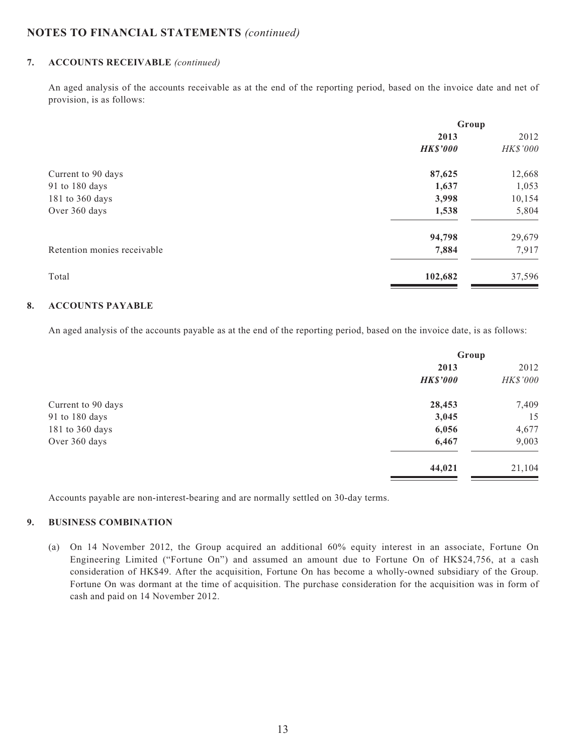#### **7. ACCOUNTS RECEIVABLE** *(continued)*

An aged analysis of the accounts receivable as at the end of the reporting period, based on the invoice date and net of provision, is as follows:

|                             | Group           |          |
|-----------------------------|-----------------|----------|
|                             | 2013            | 2012     |
|                             | <b>HK\$'000</b> | HK\$'000 |
| Current to 90 days          | 87,625          | 12,668   |
| 91 to 180 days              | 1,637           | 1,053    |
| 181 to 360 days             | 3,998           | 10,154   |
| Over 360 days               | 1,538           | 5,804    |
|                             | 94,798          | 29,679   |
| Retention monies receivable | 7,884           | 7,917    |
| Total                       | 102,682         | 37,596   |

#### **8. ACCOUNTS PAYABLE**

An aged analysis of the accounts payable as at the end of the reporting period, based on the invoice date, is as follows:

|                    | Group           |          |
|--------------------|-----------------|----------|
|                    | 2013            | 2012     |
|                    | <b>HK\$'000</b> | HK\$'000 |
| Current to 90 days | 28,453          | 7,409    |
| 91 to 180 days     | 3,045           | 15       |
| 181 to 360 days    | 6,056           | 4,677    |
| Over 360 days      | 6,467           | 9,003    |
|                    | 44,021          | 21,104   |
|                    |                 |          |

Accounts payable are non-interest-bearing and are normally settled on 30-day terms.

#### **9. BUSINESS COMBINATION**

(a) On 14 November 2012, the Group acquired an additional 60% equity interest in an associate, Fortune On Engineering Limited ("Fortune On") and assumed an amount due to Fortune On of HK\$24,756, at a cash consideration of HK\$49. After the acquisition, Fortune On has become a wholly-owned subsidiary of the Group. Fortune On was dormant at the time of acquisition. The purchase consideration for the acquisition was in form of cash and paid on 14 November 2012.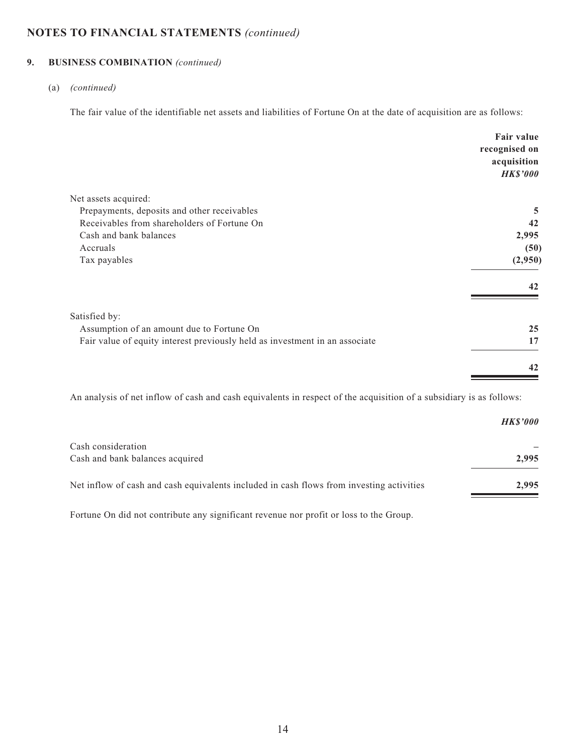# **9. BUSINESS COMBINATION** *(continued)*

#### (a) *(continued)*

The fair value of the identifiable net assets and liabilities of Fortune On at the date of acquisition are as follows:

|                                                                             | Fair value<br>recognised on<br>acquisition |
|-----------------------------------------------------------------------------|--------------------------------------------|
|                                                                             | <b>HK\$'000</b>                            |
| Net assets acquired:                                                        |                                            |
| Prepayments, deposits and other receivables                                 | 5                                          |
| Receivables from shareholders of Fortune On                                 | 42                                         |
| Cash and bank balances                                                      | 2,995                                      |
| Accruals                                                                    | (50)                                       |
| Tax payables                                                                | (2,950)                                    |
|                                                                             | 42                                         |
| Satisfied by:                                                               |                                            |
| Assumption of an amount due to Fortune On                                   | 25                                         |
| Fair value of equity interest previously held as investment in an associate | 17                                         |
|                                                                             | 42                                         |
|                                                                             |                                            |

An analysis of net inflow of cash and cash equivalents in respect of the acquisition of a subsidiary is as follows:

|                                                                                          | <b>HKS'000</b> |
|------------------------------------------------------------------------------------------|----------------|
| Cash consideration                                                                       |                |
| Cash and bank balances acquired                                                          | 2.995          |
| Net inflow of cash and cash equivalents included in cash flows from investing activities | 2.995          |

Fortune On did not contribute any significant revenue nor profit or loss to the Group.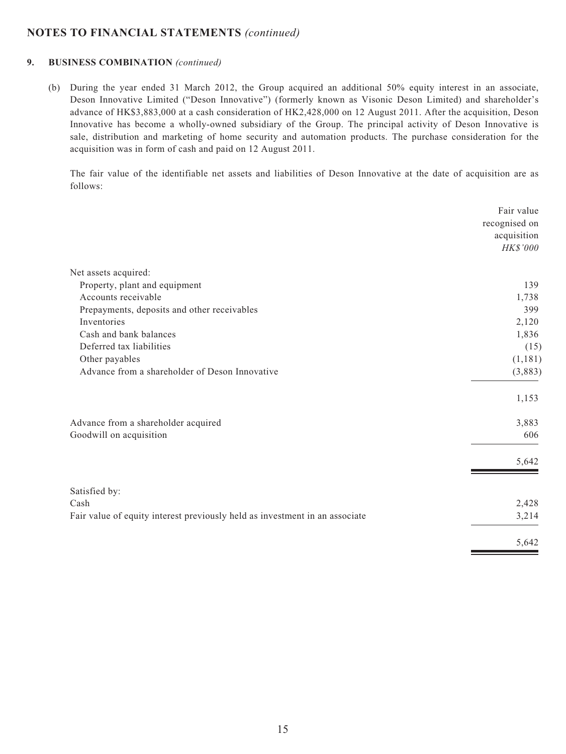#### **9. BUSINESS COMBINATION** *(continued)*

(b) During the year ended 31 March 2012, the Group acquired an additional 50% equity interest in an associate, Deson Innovative Limited ("Deson Innovative") (formerly known as Visonic Deson Limited) and shareholder's advance of HK\$3,883,000 at a cash consideration of HK2,428,000 on 12 August 2011. After the acquisition, Deson Innovative has become a wholly-owned subsidiary of the Group. The principal activity of Deson Innovative is sale, distribution and marketing of home security and automation products. The purchase consideration for the acquisition was in form of cash and paid on 12 August 2011.

The fair value of the identifiable net assets and liabilities of Deson Innovative at the date of acquisition are as follows:

|                                                                             | Fair value    |
|-----------------------------------------------------------------------------|---------------|
|                                                                             | recognised on |
|                                                                             | acquisition   |
|                                                                             | HK\$'000      |
| Net assets acquired:                                                        |               |
| Property, plant and equipment                                               | 139           |
| Accounts receivable                                                         | 1,738         |
| Prepayments, deposits and other receivables                                 | 399           |
| Inventories                                                                 | 2,120         |
| Cash and bank balances                                                      | 1,836         |
| Deferred tax liabilities                                                    | (15)          |
| Other payables                                                              | (1,181)       |
| Advance from a shareholder of Deson Innovative                              | (3,883)       |
|                                                                             | 1,153         |
| Advance from a shareholder acquired                                         | 3,883         |
| Goodwill on acquisition                                                     | 606           |
|                                                                             | 5,642         |
| Satisfied by:                                                               |               |
| Cash                                                                        | 2,428         |
| Fair value of equity interest previously held as investment in an associate | 3,214         |
|                                                                             | 5,642         |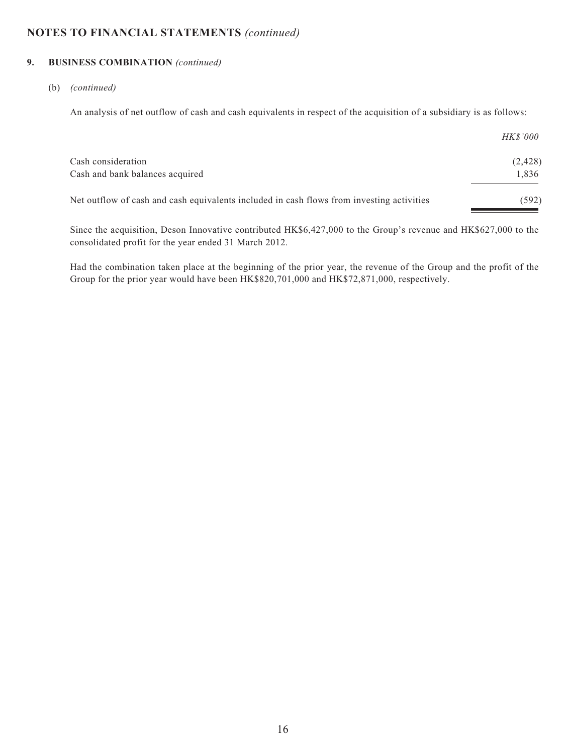#### **9. BUSINESS COMBINATION** *(continued)*

#### (b) *(continued)*

An analysis of net outflow of cash and cash equivalents in respect of the acquisition of a subsidiary is as follows:

|                                                                                           | <i>HK\$'000</i> |
|-------------------------------------------------------------------------------------------|-----------------|
| Cash consideration                                                                        | (2, 428)        |
| Cash and bank balances acquired                                                           | 1,836           |
| Net outflow of cash and cash equivalents included in cash flows from investing activities | (592)           |
|                                                                                           |                 |

Since the acquisition, Deson Innovative contributed HK\$6,427,000 to the Group's revenue and HK\$627,000 to the consolidated profit for the year ended 31 March 2012.

Had the combination taken place at the beginning of the prior year, the revenue of the Group and the profit of the Group for the prior year would have been HK\$820,701,000 and HK\$72,871,000, respectively.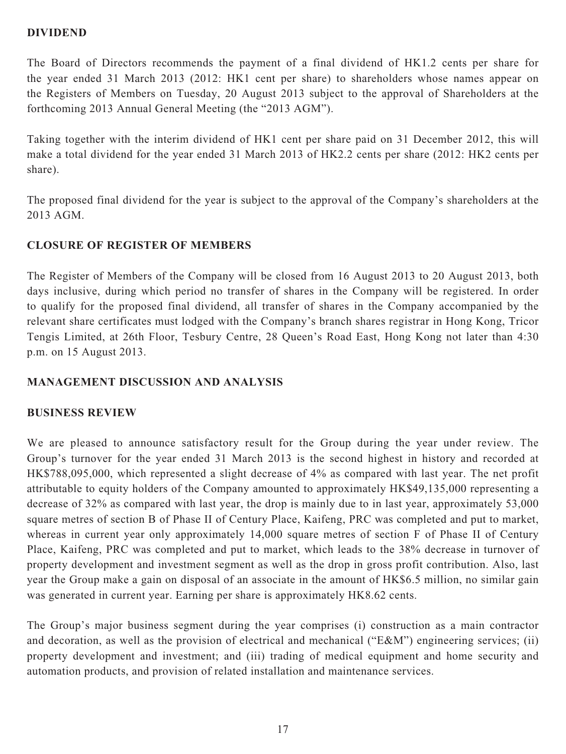### **DIVIDEND**

The Board of Directors recommends the payment of a final dividend of HK1.2 cents per share for the year ended 31 March 2013 (2012: HK1 cent per share) to shareholders whose names appear on the Registers of Members on Tuesday, 20 August 2013 subject to the approval of Shareholders at the forthcoming 2013 Annual General Meeting (the "2013 AGM").

Taking together with the interim dividend of HK1 cent per share paid on 31 December 2012, this will make a total dividend for the year ended 31 March 2013 of HK2.2 cents per share (2012: HK2 cents per share).

The proposed final dividend for the year is subject to the approval of the Company's shareholders at the 2013 AGM.

# **CLOSURE OF REGISTER OF MEMBERS**

The Register of Members of the Company will be closed from 16 August 2013 to 20 August 2013, both days inclusive, during which period no transfer of shares in the Company will be registered. In order to qualify for the proposed final dividend, all transfer of shares in the Company accompanied by the relevant share certificates must lodged with the Company's branch shares registrar in Hong Kong, Tricor Tengis Limited, at 26th Floor, Tesbury Centre, 28 Queen's Road East, Hong Kong not later than 4:30 p.m. on 15 August 2013.

# **MANAGEMENT DISCUSSION AND ANALYSIS**

# **BUSINESS REVIEW**

We are pleased to announce satisfactory result for the Group during the year under review. The Group's turnover for the year ended 31 March 2013 is the second highest in history and recorded at HK\$788,095,000, which represented a slight decrease of 4% as compared with last year. The net profit attributable to equity holders of the Company amounted to approximately HK\$49,135,000 representing a decrease of 32% as compared with last year, the drop is mainly due to in last year, approximately 53,000 square metres of section B of Phase II of Century Place, Kaifeng, PRC was completed and put to market, whereas in current year only approximately 14,000 square metres of section F of Phase II of Century Place, Kaifeng, PRC was completed and put to market, which leads to the 38% decrease in turnover of property development and investment segment as well as the drop in gross profit contribution. Also, last year the Group make a gain on disposal of an associate in the amount of HK\$6.5 million, no similar gain was generated in current year. Earning per share is approximately HK8.62 cents.

The Group's major business segment during the year comprises (i) construction as a main contractor and decoration, as well as the provision of electrical and mechanical ("E&M") engineering services; (ii) property development and investment; and (iii) trading of medical equipment and home security and automation products, and provision of related installation and maintenance services.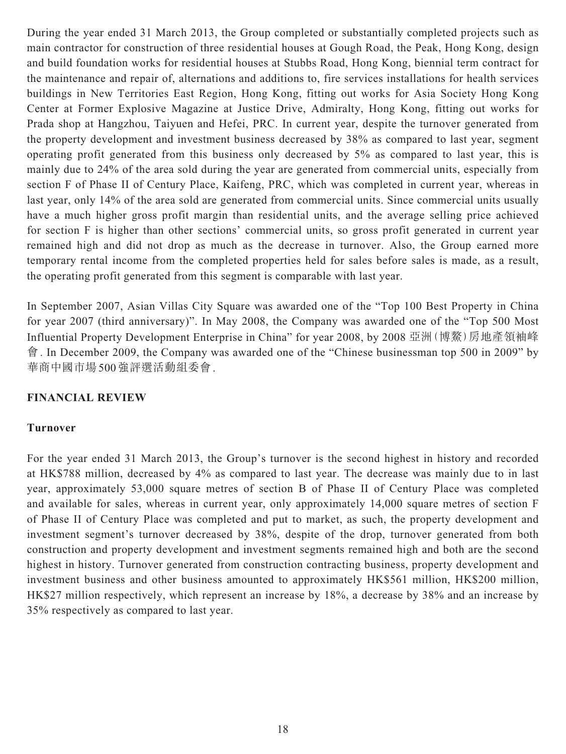During the year ended 31 March 2013, the Group completed or substantially completed projects such as main contractor for construction of three residential houses at Gough Road, the Peak, Hong Kong, design and build foundation works for residential houses at Stubbs Road, Hong Kong, biennial term contract for the maintenance and repair of, alternations and additions to, fire services installations for health services buildings in New Territories East Region, Hong Kong, fitting out works for Asia Society Hong Kong Center at Former Explosive Magazine at Justice Drive, Admiralty, Hong Kong, fitting out works for Prada shop at Hangzhou, Taiyuen and Hefei, PRC. In current year, despite the turnover generated from the property development and investment business decreased by 38% as compared to last year, segment operating profit generated from this business only decreased by 5% as compared to last year, this is mainly due to 24% of the area sold during the year are generated from commercial units, especially from section F of Phase II of Century Place, Kaifeng, PRC, which was completed in current year, whereas in last year, only 14% of the area sold are generated from commercial units. Since commercial units usually have a much higher gross profit margin than residential units, and the average selling price achieved for section F is higher than other sections' commercial units, so gross profit generated in current year remained high and did not drop as much as the decrease in turnover. Also, the Group earned more temporary rental income from the completed properties held for sales before sales is made, as a result, the operating profit generated from this segment is comparable with last year.

In September 2007, Asian Villas City Square was awarded one of the "Top 100 Best Property in China for year 2007 (third anniversary)". In May 2008, the Company was awarded one of the "Top 500 Most Influential Property Development Enterprise in China" for year 2008, by 2008 亞洲(博鰲)房地產領袖峰 會. In December 2009, the Company was awarded one of the "Chinese businessman top 500 in 2009" by 華商中國市場500強評選活動組委會.

### **FINANCIAL REVIEW**

### **Turnover**

For the year ended 31 March 2013, the Group's turnover is the second highest in history and recorded at HK\$788 million, decreased by 4% as compared to last year. The decrease was mainly due to in last year, approximately 53,000 square metres of section B of Phase II of Century Place was completed and available for sales, whereas in current year, only approximately 14,000 square metres of section F of Phase II of Century Place was completed and put to market, as such, the property development and investment segment's turnover decreased by 38%, despite of the drop, turnover generated from both construction and property development and investment segments remained high and both are the second highest in history. Turnover generated from construction contracting business, property development and investment business and other business amounted to approximately HK\$561 million, HK\$200 million, HK\$27 million respectively, which represent an increase by 18%, a decrease by 38% and an increase by 35% respectively as compared to last year.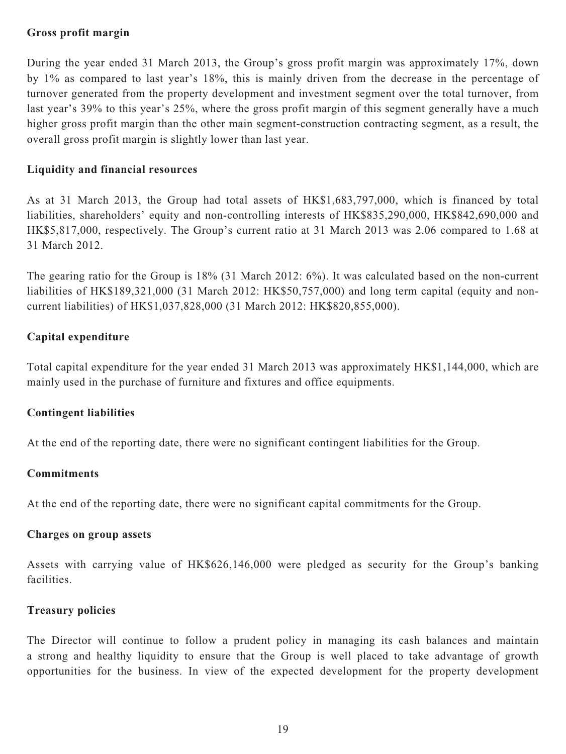### **Gross profit margin**

During the year ended 31 March 2013, the Group's gross profit margin was approximately 17%, down by 1% as compared to last year's 18%, this is mainly driven from the decrease in the percentage of turnover generated from the property development and investment segment over the total turnover, from last year's 39% to this year's 25%, where the gross profit margin of this segment generally have a much higher gross profit margin than the other main segment-construction contracting segment, as a result, the overall gross profit margin is slightly lower than last year.

### **Liquidity and financial resources**

As at 31 March 2013, the Group had total assets of HK\$1,683,797,000, which is financed by total liabilities, shareholders' equity and non-controlling interests of HK\$835,290,000, HK\$842,690,000 and HK\$5,817,000, respectively. The Group's current ratio at 31 March 2013 was 2.06 compared to 1.68 at 31 March 2012.

The gearing ratio for the Group is 18% (31 March 2012: 6%). It was calculated based on the non-current liabilities of HK\$189,321,000 (31 March 2012: HK\$50,757,000) and long term capital (equity and noncurrent liabilities) of HK\$1,037,828,000 (31 March 2012: HK\$820,855,000).

# **Capital expenditure**

Total capital expenditure for the year ended 31 March 2013 was approximately HK\$1,144,000, which are mainly used in the purchase of furniture and fixtures and office equipments.

# **Contingent liabilities**

At the end of the reporting date, there were no significant contingent liabilities for the Group.

### **Commitments**

At the end of the reporting date, there were no significant capital commitments for the Group.

### **Charges on group assets**

Assets with carrying value of HK\$626,146,000 were pledged as security for the Group's banking facilities.

### **Treasury policies**

The Director will continue to follow a prudent policy in managing its cash balances and maintain a strong and healthy liquidity to ensure that the Group is well placed to take advantage of growth opportunities for the business. In view of the expected development for the property development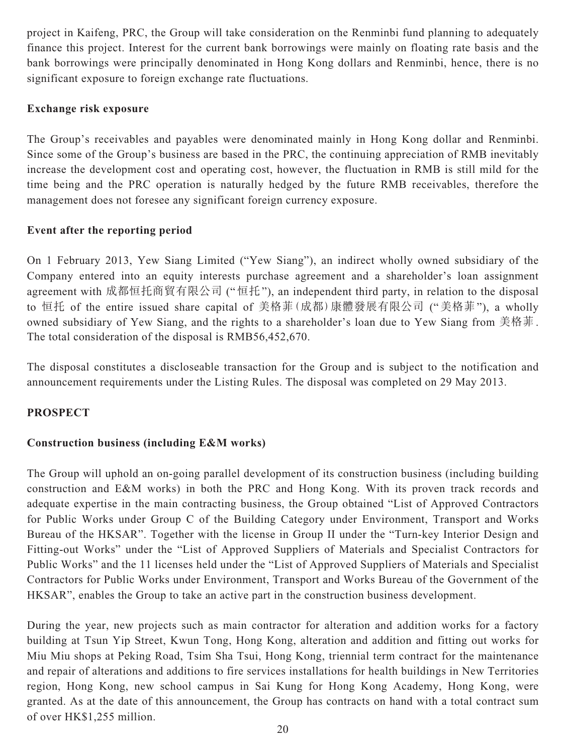project in Kaifeng, PRC, the Group will take consideration on the Renminbi fund planning to adequately finance this project. Interest for the current bank borrowings were mainly on floating rate basis and the bank borrowings were principally denominated in Hong Kong dollars and Renminbi, hence, there is no significant exposure to foreign exchange rate fluctuations.

# **Exchange risk exposure**

The Group's receivables and payables were denominated mainly in Hong Kong dollar and Renminbi. Since some of the Group's business are based in the PRC, the continuing appreciation of RMB inevitably increase the development cost and operating cost, however, the fluctuation in RMB is still mild for the time being and the PRC operation is naturally hedged by the future RMB receivables, therefore the management does not foresee any significant foreign currency exposure.

# **Event after the reporting period**

On 1 February 2013, Yew Siang Limited ("Yew Siang"), an indirect wholly owned subsidiary of the Company entered into an equity interests purchase agreement and a shareholder's loan assignment agreement with 成都恒托商貿有限公司 ("恒托"), an independent third party, in relation to the disposal to 恒托 of the entire issued share capital of 美格菲(成都)康體發展有限公司 ("美格菲"), a wholly owned subsidiary of Yew Siang, and the rights to a shareholder's loan due to Yew Siang from 美格菲. The total consideration of the disposal is RMB56,452,670.

The disposal constitutes a discloseable transaction for the Group and is subject to the notification and announcement requirements under the Listing Rules. The disposal was completed on 29 May 2013.

# **PROSPECT**

# **Construction business (including E&M works)**

The Group will uphold an on-going parallel development of its construction business (including building construction and E&M works) in both the PRC and Hong Kong. With its proven track records and adequate expertise in the main contracting business, the Group obtained "List of Approved Contractors for Public Works under Group C of the Building Category under Environment, Transport and Works Bureau of the HKSAR". Together with the license in Group II under the "Turn-key Interior Design and Fitting-out Works" under the "List of Approved Suppliers of Materials and Specialist Contractors for Public Works" and the 11 licenses held under the "List of Approved Suppliers of Materials and Specialist Contractors for Public Works under Environment, Transport and Works Bureau of the Government of the HKSAR", enables the Group to take an active part in the construction business development.

During the year, new projects such as main contractor for alteration and addition works for a factory building at Tsun Yip Street, Kwun Tong, Hong Kong, alteration and addition and fitting out works for Miu Miu shops at Peking Road, Tsim Sha Tsui, Hong Kong, triennial term contract for the maintenance and repair of alterations and additions to fire services installations for health buildings in New Territories region, Hong Kong, new school campus in Sai Kung for Hong Kong Academy, Hong Kong, were granted. As at the date of this announcement, the Group has contracts on hand with a total contract sum of over HK\$1,255 million.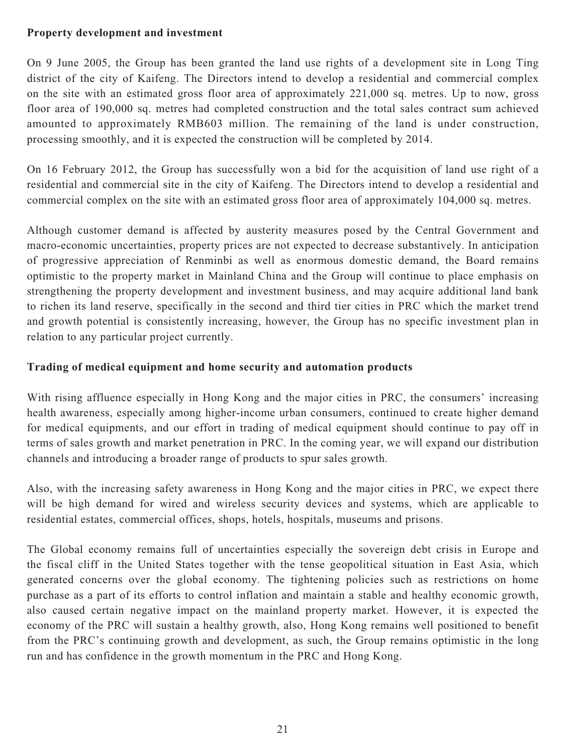## **Property development and investment**

On 9 June 2005, the Group has been granted the land use rights of a development site in Long Ting district of the city of Kaifeng. The Directors intend to develop a residential and commercial complex on the site with an estimated gross floor area of approximately 221,000 sq. metres. Up to now, gross floor area of 190,000 sq. metres had completed construction and the total sales contract sum achieved amounted to approximately RMB603 million. The remaining of the land is under construction, processing smoothly, and it is expected the construction will be completed by 2014.

On 16 February 2012, the Group has successfully won a bid for the acquisition of land use right of a residential and commercial site in the city of Kaifeng. The Directors intend to develop a residential and commercial complex on the site with an estimated gross floor area of approximately 104,000 sq. metres.

Although customer demand is affected by austerity measures posed by the Central Government and macro-economic uncertainties, property prices are not expected to decrease substantively. In anticipation of progressive appreciation of Renminbi as well as enormous domestic demand, the Board remains optimistic to the property market in Mainland China and the Group will continue to place emphasis on strengthening the property development and investment business, and may acquire additional land bank to richen its land reserve, specifically in the second and third tier cities in PRC which the market trend and growth potential is consistently increasing, however, the Group has no specific investment plan in relation to any particular project currently.

# **Trading of medical equipment and home security and automation products**

With rising affluence especially in Hong Kong and the major cities in PRC, the consumers' increasing health awareness, especially among higher-income urban consumers, continued to create higher demand for medical equipments, and our effort in trading of medical equipment should continue to pay off in terms of sales growth and market penetration in PRC. In the coming year, we will expand our distribution channels and introducing a broader range of products to spur sales growth.

Also, with the increasing safety awareness in Hong Kong and the major cities in PRC, we expect there will be high demand for wired and wireless security devices and systems, which are applicable to residential estates, commercial offices, shops, hotels, hospitals, museums and prisons.

The Global economy remains full of uncertainties especially the sovereign debt crisis in Europe and the fiscal cliff in the United States together with the tense geopolitical situation in East Asia, which generated concerns over the global economy. The tightening policies such as restrictions on home purchase as a part of its efforts to control inflation and maintain a stable and healthy economic growth, also caused certain negative impact on the mainland property market. However, it is expected the economy of the PRC will sustain a healthy growth, also, Hong Kong remains well positioned to benefit from the PRC's continuing growth and development, as such, the Group remains optimistic in the long run and has confidence in the growth momentum in the PRC and Hong Kong.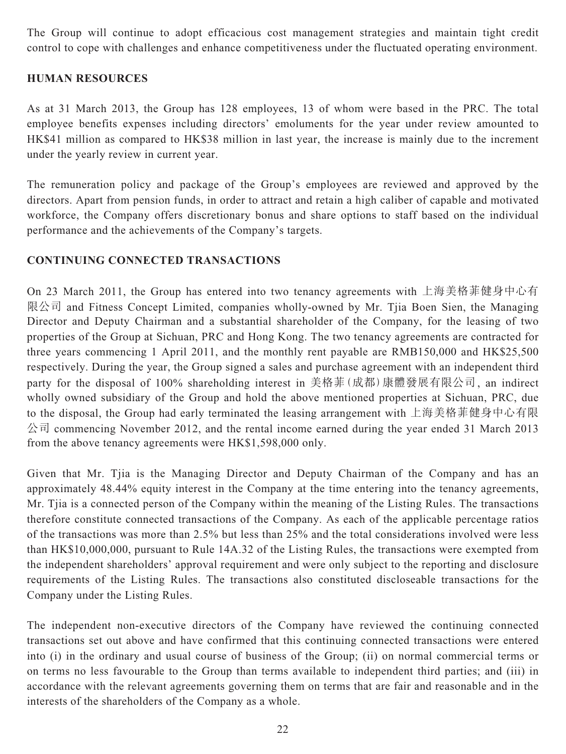The Group will continue to adopt efficacious cost management strategies and maintain tight credit control to cope with challenges and enhance competitiveness under the fluctuated operating environment.

# **HUMAN RESOURCES**

As at 31 March 2013, the Group has 128 employees, 13 of whom were based in the PRC. The total employee benefits expenses including directors' emoluments for the year under review amounted to HK\$41 million as compared to HK\$38 million in last year, the increase is mainly due to the increment under the yearly review in current year.

The remuneration policy and package of the Group's employees are reviewed and approved by the directors. Apart from pension funds, in order to attract and retain a high caliber of capable and motivated workforce, the Company offers discretionary bonus and share options to staff based on the individual performance and the achievements of the Company's targets.

# **CONTINUING CONNECTED TRANSACTIONS**

On 23 March 2011, the Group has entered into two tenancy agreements with 上海美格菲健身中心有 限公司 and Fitness Concept Limited, companies wholly-owned by Mr. Tjia Boen Sien, the Managing Director and Deputy Chairman and a substantial shareholder of the Company, for the leasing of two properties of the Group at Sichuan, PRC and Hong Kong. The two tenancy agreements are contracted for three years commencing 1 April 2011, and the monthly rent payable are RMB150,000 and HK\$25,500 respectively. During the year, the Group signed a sales and purchase agreement with an independent third party for the disposal of 100% shareholding interest in 美格菲(成都)康體發展有限公司, an indirect wholly owned subsidiary of the Group and hold the above mentioned properties at Sichuan, PRC, due to the disposal, the Group had early terminated the leasing arrangement with 上海美格菲健身中心有限 公司 commencing November 2012, and the rental income earned during the year ended 31 March 2013 from the above tenancy agreements were HK\$1,598,000 only.

Given that Mr. Tjia is the Managing Director and Deputy Chairman of the Company and has an approximately 48.44% equity interest in the Company at the time entering into the tenancy agreements, Mr. Tjia is a connected person of the Company within the meaning of the Listing Rules. The transactions therefore constitute connected transactions of the Company. As each of the applicable percentage ratios of the transactions was more than 2.5% but less than 25% and the total considerations involved were less than HK\$10,000,000, pursuant to Rule 14A.32 of the Listing Rules, the transactions were exempted from the independent shareholders' approval requirement and were only subject to the reporting and disclosure requirements of the Listing Rules. The transactions also constituted discloseable transactions for the Company under the Listing Rules.

The independent non-executive directors of the Company have reviewed the continuing connected transactions set out above and have confirmed that this continuing connected transactions were entered into (i) in the ordinary and usual course of business of the Group; (ii) on normal commercial terms or on terms no less favourable to the Group than terms available to independent third parties; and (iii) in accordance with the relevant agreements governing them on terms that are fair and reasonable and in the interests of the shareholders of the Company as a whole.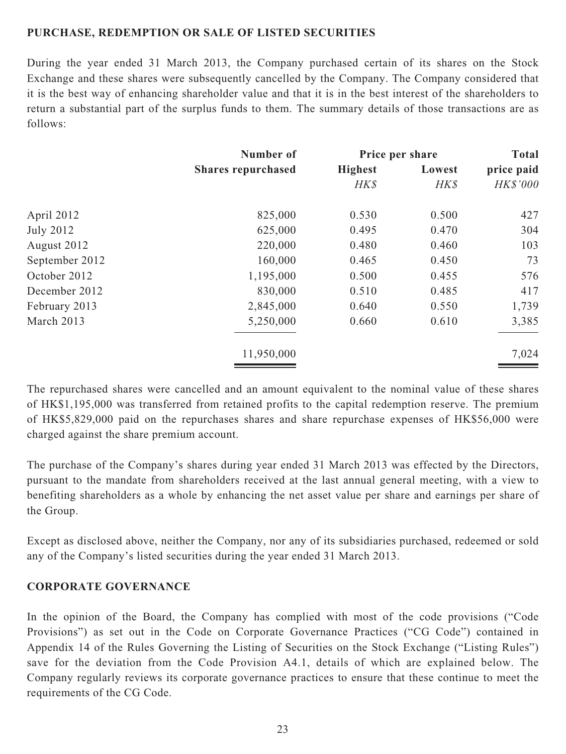# **PURCHASE, REDEMPTION OR SALE OF LISTED SECURITIES**

During the year ended 31 March 2013, the Company purchased certain of its shares on the Stock Exchange and these shares were subsequently cancelled by the Company. The Company considered that it is the best way of enhancing shareholder value and that it is in the best interest of the shareholders to return a substantial part of the surplus funds to them. The summary details of those transactions are as follows:

|                  | Number of                 |                | Price per share | <b>Total</b>    |
|------------------|---------------------------|----------------|-----------------|-----------------|
|                  | <b>Shares repurchased</b> | <b>Highest</b> | Lowest          | price paid      |
|                  |                           | HK\$           | HK\$            | <b>HK\$'000</b> |
| April 2012       | 825,000                   | 0.530          | 0.500           | 427             |
| <b>July 2012</b> | 625,000                   | 0.495          | 0.470           | 304             |
| August 2012      | 220,000                   | 0.480          | 0.460           | 103             |
| September 2012   | 160,000                   | 0.465          | 0.450           | 73              |
| October 2012     | 1,195,000                 | 0.500          | 0.455           | 576             |
| December 2012    | 830,000                   | 0.510          | 0.485           | 417             |
| February 2013    | 2,845,000                 | 0.640          | 0.550           | 1,739           |
| March 2013       | 5,250,000                 | 0.660          | 0.610           | 3,385           |
|                  | 11,950,000                |                |                 | 7,024           |

The repurchased shares were cancelled and an amount equivalent to the nominal value of these shares of HK\$1,195,000 was transferred from retained profits to the capital redemption reserve. The premium of HK\$5,829,000 paid on the repurchases shares and share repurchase expenses of HK\$56,000 were charged against the share premium account.

The purchase of the Company's shares during year ended 31 March 2013 was effected by the Directors, pursuant to the mandate from shareholders received at the last annual general meeting, with a view to benefiting shareholders as a whole by enhancing the net asset value per share and earnings per share of the Group.

Except as disclosed above, neither the Company, nor any of its subsidiaries purchased, redeemed or sold any of the Company's listed securities during the year ended 31 March 2013.

# **CORPORATE GOVERNANCE**

In the opinion of the Board, the Company has complied with most of the code provisions ("Code Provisions") as set out in the Code on Corporate Governance Practices ("CG Code") contained in Appendix 14 of the Rules Governing the Listing of Securities on the Stock Exchange ("Listing Rules") save for the deviation from the Code Provision A4.1, details of which are explained below. The Company regularly reviews its corporate governance practices to ensure that these continue to meet the requirements of the CG Code.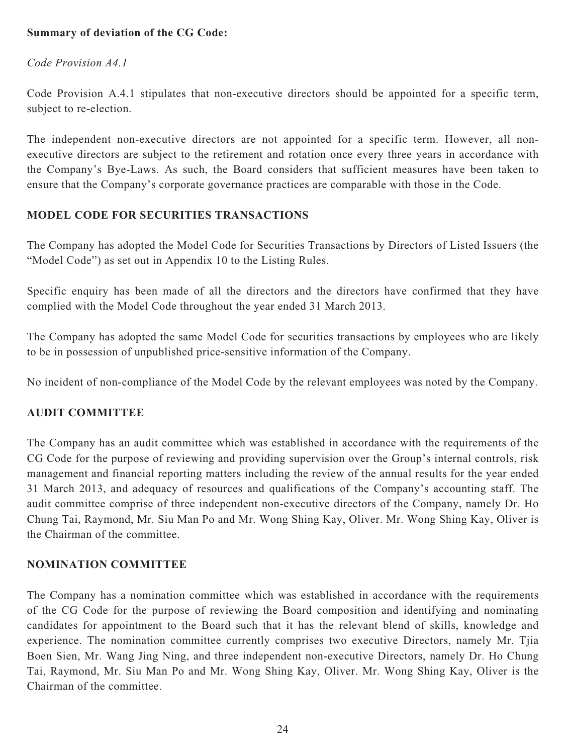# **Summary of deviation of the CG Code:**

# *Code Provision A4.1*

Code Provision A.4.1 stipulates that non-executive directors should be appointed for a specific term, subject to re-election.

The independent non-executive directors are not appointed for a specific term. However, all nonexecutive directors are subject to the retirement and rotation once every three years in accordance with the Company's Bye-Laws. As such, the Board considers that sufficient measures have been taken to ensure that the Company's corporate governance practices are comparable with those in the Code.

# **MODEL CODE FOR SECURITIES TRANSACTIONS**

The Company has adopted the Model Code for Securities Transactions by Directors of Listed Issuers (the "Model Code") as set out in Appendix 10 to the Listing Rules.

Specific enquiry has been made of all the directors and the directors have confirmed that they have complied with the Model Code throughout the year ended 31 March 2013.

The Company has adopted the same Model Code for securities transactions by employees who are likely to be in possession of unpublished price-sensitive information of the Company.

No incident of non-compliance of the Model Code by the relevant employees was noted by the Company.

# **AUDIT COMMITTEE**

The Company has an audit committee which was established in accordance with the requirements of the CG Code for the purpose of reviewing and providing supervision over the Group's internal controls, risk management and financial reporting matters including the review of the annual results for the year ended 31 March 2013, and adequacy of resources and qualifications of the Company's accounting staff. The audit committee comprise of three independent non-executive directors of the Company, namely Dr. Ho Chung Tai, Raymond, Mr. Siu Man Po and Mr. Wong Shing Kay, Oliver. Mr. Wong Shing Kay, Oliver is the Chairman of the committee.

# **NOMINATION COMMITTEE**

The Company has a nomination committee which was established in accordance with the requirements of the CG Code for the purpose of reviewing the Board composition and identifying and nominating candidates for appointment to the Board such that it has the relevant blend of skills, knowledge and experience. The nomination committee currently comprises two executive Directors, namely Mr. Tjia Boen Sien, Mr. Wang Jing Ning, and three independent non-executive Directors, namely Dr. Ho Chung Tai, Raymond, Mr. Siu Man Po and Mr. Wong Shing Kay, Oliver. Mr. Wong Shing Kay, Oliver is the Chairman of the committee.